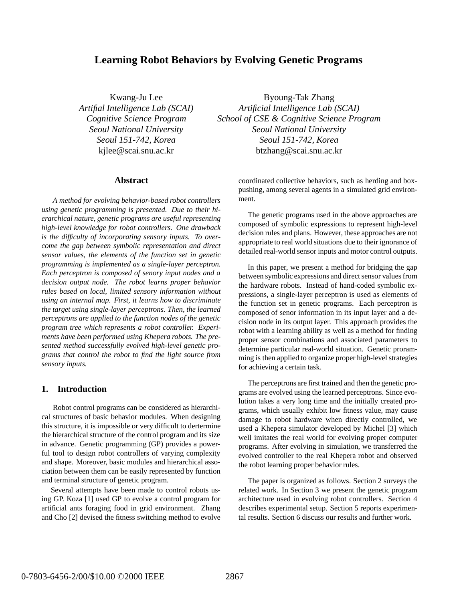# **Learning Robot Behaviors by Evolving Genetic Programs**

Kwang-Ju Lee *Artifial Intelligence Lab (SCAI) Cognitive Science Program Seoul National University Seoul 151-742, Korea* kjlee@scai.snu.ac.kr

#### **Abstract**

*A method for evolving behavior-based robot controllers using genetic programming is presented. Due to their hierarchical nature, genetic programs are useful representing high-level knowledge for robot controllers. One drawback is the difficulty of incorporating sensory inputs. To overcome the gap between symbolic representation and direct sensor values, the elements of the function set in genetic programming is implemented as a single-layer perceptron. Each perceptron is composed of senory input nodes and a decision output node. The robot learns proper behavior rules based on local, limited sensory information without using an internal map. First, it learns how to discriminate the target using single-layer perceptrons. Then, the learned perceptrons are applied to the function nodes of the genetic program tree which represents a robot controller. Experiments have been performed using Khepera robots. The presented method successfully evolved high-level genetic programs that control the robot to find the light source from sensory inputs.*

### **1. Introduction**

Robot control programs can be considered as hierarchical structures of basic behavior modules. When designing this structure, it is impossible or very difficult to dertermine the hierarchical structure of the control program and its size in advance. Genetic programming (GP) provides a powerful tool to design robot controllers of varying complexity and shape. Moreover, basic modules and hierarchical association between them can be easily represented by function and terminal structure of genetic program.

Several attempts have been made to control robots using GP. Koza [1] used GP to evolve a control program for artificial ants foraging food in grid environment. Zhang and Cho [2] devised the fitness switching method to evolve

Byoung-Tak Zhang *Artificial Intelligence Lab (SCAI) School of CSE & Cognitive Science Program Seoul National University Seoul 151-742, Korea* btzhang@scai.snu.ac.kr

> coordinated collective behaviors, such as herding and boxpushing, among several agents in a simulated grid environment.

> The genetic programs used in the above approaches are composed of symbolic expressions to represent high-level decision rules and plans. However, these approaches are not appropriate to real world situations due to their ignorance of detailed real-world sensor inputs and motor control outputs.

> In this paper, we present a method for bridging the gap between symbolic expressions and direct sensor values from the hardware robots. Instead of hand-coded symbolic expressions, a single-layer perceptron is used as elements of the function set in genetic programs. Each perceptron is composed of senor information in its input layer and a decision node in its output layer. This approach provides the robot with a learning ability as well as a method for finding proper sensor combinations and associated parameters to determine particular real-world situation. Genetic proramming is then applied to organize proper high-level strategies for achieving a certain task.

> The perceptrons are first trained and then the genetic programs are evolved using the learned perceptrons. Since evolution takes a very long time and the initially created programs, which usually exhibit low fitness value, may cause damage to robot hardware when directly controlled, we used a Khepera simulator developed by Michel [3] which well imitates the real world for evolving proper computer programs. After evolving in simulation, we transferred the evolved controller to the real Khepera robot and observed the robot learning proper behavior rules.

> The paper is organized as follows. Section 2 surveys the related work. In Section 3 we present the genetic program architecture used in evolving robot controllers. Section 4 describes experimental setup. Section 5 reports experimental results. Section 6 discuss our results and further work.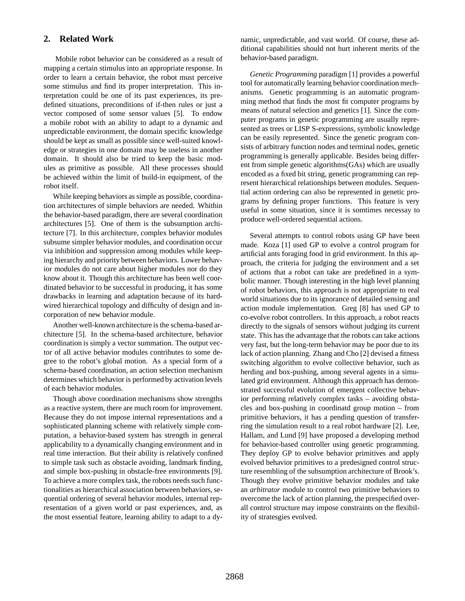## **2. Related Work**

Mobile robot behavior can be considered as a result of mapping a certain stimulus into an appropriate response. In order to learn a certain behavior, the robot must perceive some stimulus and find its proper interpretation. This interpretation could be one of its past experiences, its predefined situations, preconditions of if-then rules or just a vector composed of some sensor values [5]. To endow a mobile robot with an ability to adapt to a dynamic and unpredictable environment, the domain specific knowledge should be kept as small as possible since well-suited knowledge or strategies in one domain may be useless in another domain. It should also be tried to keep the basic modules as primitive as possible. All these processes should be achieved within the limit of build-in equipment, of the robot itself.

While keeping behaviors as simple as possible, coordination architectures of simple behaviors are needed. Whithin the behavior-based paradigm, there are several coordination architectures [5]. One of them is the subsumption architecture [7]. In this architecture, complex behavior modules subsume simpler behavior modules, and coordination occur via inhibition and suppression among modules while keeping hierarchy and priority between behaviors. Lower behavior modules do not care about higher modules nor do they know about it. Though this architecture has been well coordinated behavior to be successful in producing, it has some drawbacks in learning and adaptation because of its hardwired hierarchical topology and difficulty of design and incorporation of new behavior module.

Another well-known architecture is the schema-based architecture [5]. In the schema-based architecture, behavior coordination is simply a vector summation. The output vector of all active behavior modules contributes to some degree to the robot's global motion. As a special form of a schema-based coordination, an action selection mechanism determines which behavior is performed by activation levels of each behavior modules.

Though above coordination mechanisms show strengths as a reactive system, there are much room for improvement. Because they do not impose internal representations and a sophisticated planning scheme with relatively simple computation, a behavior-based system has strength in general applicability to a dynamically changing environment and in real time interaction. But their ability is relatively confined to simple task such as obstacle avoiding, landmark finding, and simple box-pushing in obstacle-free environments [9]. To achieve a more complex task, the robots needs such functionalities as hierarchical association between behaviors, sequential ordering of several behavior modules, internal representation of a given world or past experiences, and, as the most essential feature, learning ability to adapt to a dynamic, unpredictable, and vast world. Of course, these additional capabilities should not hurt inherent merits of the behavior-based paradigm.

*Genetic Programming* paradigm [1] provides a powerful tool for automatically learning behavior coordination mechanisms. Genetic programming is an automatic programming method that finds the most fit computer programs by means of natural selection and genetics [1]. Since the computer programs in genetic programming are usually represented as trees or LISP S-expressions, symbolic knowledge can be easily represented. Since the genetic program consists of arbitrary function nodes and terminal nodes, genetic programming is generally applicable. Besides being different from simple genetic algorithms(GAs) which are usually encoded as a fixed bit string, genetic programming can represent hierarchical relationships between modules. Sequential action ordering can also be represented in genetic programs by defining proper functions. This feature is very useful in some situation, since it is somtimes necessay to produce well-ordered sequential actions.

Several attempts to control robots using GP have been made. Koza [1] used GP to evolve a control program for artificial ants foraging food in grid environment. In this approach, the criteria for judging the environment and a set of actions that a robot can take are predefined in a symbolic manner. Though interesting in the high level planning of robot behaviors, this approach is not appropriate to real world situations due to its ignorance of detailed sensing and action module implementation. Greg [8] has used GP to co-evolve robot controllers. In this approach, a robot reacts directly to the signals of sensors without judging its current state. This has the advantage that the robots can take actions very fast, but the long-term behavior may be poor due to its lack of action planning. Zhang and Cho [2] devised a fitness switching algorithm to evolve collective behavior, such as herding and box-pushing, among several agents in a simulated grid environment. Although this approach has demonstrated successful evolution of emergent collective behavior performing relatively complex tasks – avoiding obstacles and box-pushing in coordinatd group motion – from primitive behaviors, it has a pending question of transferring the simulation result to a real robot hardware [2]. Lee, Hallam, and Lund [9] have proposed a developing method for behavior-based controller using genetic programming. They deploy GP to evolve behavior primitives and apply evolved behavior primitives to a predesigned control structure resembling of the subsumption architecture of Brook's. Though they evolve primitive behavior modules and take an *arbitrator* module to control two primitive behaviors to overcome the lack of action planning, the prespecified overall control structure may impose constraints on the flexibility of stratesgies evolved.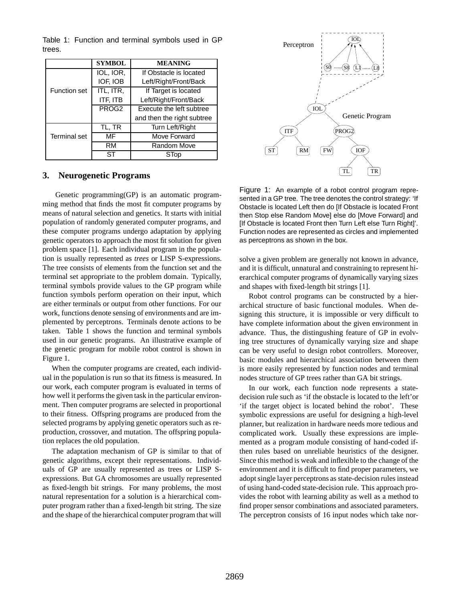Table 1: Function and terminal symbols used in GP trees.

|                     | <b>SYMBOL</b>     | <b>MEANING</b>             |
|---------------------|-------------------|----------------------------|
|                     | IOL, IOR,         | If Obstacle is located     |
|                     | IOF, IOB          | Left/Right/Front/Back      |
| <b>Function set</b> | ITL, ITR,         | If Target is located       |
|                     | ITF, ITB          | Left/Right/Front/Back      |
|                     | PROG <sub>2</sub> | Execute the left subtree   |
|                     |                   | and then the right subtree |
|                     | tl, tr            | Turn Left/Right            |
| <b>Terminal set</b> | МF                | Move Forward               |
|                     | RM                | Random Move                |
|                     | SТ                | STop                       |

## **3. Neurogenetic Programs**

Genetic programming(GP) is an automatic programming method that finds the most fit computer programs by means of natural selection and genetics. It starts with initial population of randomly generated computer programs, and these computer programs undergo adaptation by applying genetic operators to approach the most fit solution for given problem space [1]. Each individual program in the population is usually represented as *trees* or LISP S-expressions. The tree consists of elements from the function set and the terminal set appropriate to the problem domain. Typically, terminal symbols provide values to the GP program while function symbols perform operation on their input, which are either terminals or output from other functions. For our work, functions denote sensing of environments and are implemented by perceptrons. Terminals denote actions to be taken. Table 1 shows the function and terminal symbols used in our genetic programs. An illustrative example of the genetic program for mobile robot control is shown in Figure 1.

When the computer programs are created, each individual in the population is run so that its fitness is measured. In our work, each computer program is evaluated in terms of how well it performs the given task in the particular environment. Then computer programs are selected in proportional to their fitness. Offspring programs are produced from the selected programs by applying genetic operators such as reproduction, crossover, and mutation. The offspring population replaces the old population.

The adaptation mechanism of GP is similar to that of genetic algorithms, except their representations. Individuals of GP are usually represented as trees or LISP Sexpressions. But GA chromosomes are usually represented as fixed-length bit strings. For many problems, the most natural representation for a solution is a hierarchical computer program rather than a fixed-length bit string. The size and the shape of the hierarchical computer program that will



Figure 1: An example of a robot control program represented in a GP tree. The tree denotes the control strategy: 'If Obstacle is located Left then do [If Obstacle is located Front then Stop else Random Move] else do [Move Forward] and [If Obstacle is located Front then Turn Left else Turn Right]'. Function nodes are represented as circles and implemented as perceptrons as shown in the box.

solve a given problem are generally not known in advance, and it is difficult, unnatural and constraining to represent hierarchical computer programs of dynamically varying sizes and shapes with fixed-length bit strings [1].

Robot control programs can be constructed by a hierarchical structure of basic functional modules. When designing this structure, it is impossible or very difficult to have complete information about the given environment in advance. Thus, the distingushing feature of GP in evolving tree structures of dynamically varying size and shape can be very useful to design robot controllers. Moreover, basic modules and hierarchical association between them is more easily represented by function nodes and terminal nodes structure of GP trees rather than GA bit strings.

In our work, each function node represents a statedecision rule such as 'if the obstacle is located to the left'or 'if the target object is located behind the robot'. These symbolic expressions are useful for designing a high-level planner, but realization in hardware needs more tedious and complicated work. Usually these expressions are implemented as a program module consisting of hand-coded ifthen rules based on unreliable heuristics of the designer. Since this method is weak and inflexible to the change of the environment and it is difficult to find proper parameters, we adopt single layer perceptrons as state-decision rules instead of using hand-coded state-decision rule. This approach provides the robot with learning ability as well as a method to find proper sensor combinations and associated parameters. The perceptron consists of 16 input nodes which take nor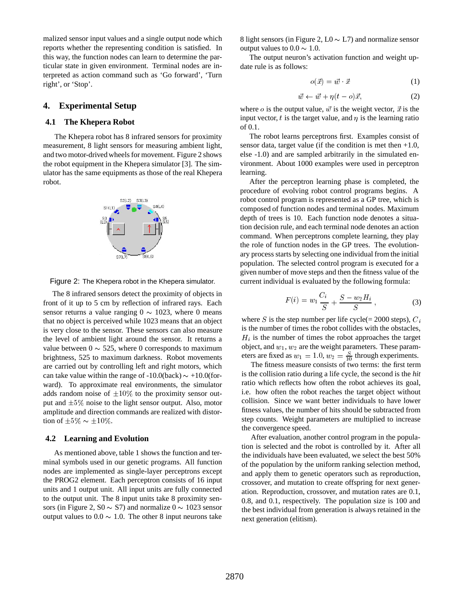malized sensor input values and a single output node which reports whether the representing condition is satisfied. In this way, the function nodes can learn to determine the particular state in given environment. Terminal nodes are interpreted as action command such as 'Go forward', 'Turn right', or 'Stop'.

#### **4. Experimental Setup**

#### **4.1 The Khepera Robot**

The Khepera robot has 8 infrared sensors for proximity measurement, 8 light sensors for measuring ambient light, and two motor-drived wheels for movement. Figure 2 shows the robot equipment in the Khepera simulator [3]. The simulator has the same equipments as those of the real Khepera robot.



Figure 2: The Khepera robot in the Khepera simulator.

The 8 infrared sensors detect the proximity of objects in front of it up to 5 cm by reflection of infrared rays. Each sensor returns a value ranging  $0 \sim 1023$ , where 0 means that no object is perceived while 1023 means that an object is very close to the sensor. These sensors can also measure the level of ambient light around the sensor. It returns a value between  $0 \sim 525$ , where 0 corresponds to maximum brightness, 525 to maximum darkness. Robot movements are carried out by controlling left and right motors, which can take value within the range of  $-10.0$ (back)  $\sim +10.0$ (forward). To approximate real environments, the simulator adds random noise of  $\pm 10\%$  to the proximity sensor output and  $\pm 5\%$  noise to the light sensor output. Also, motor amplitude and direction commands are realized with distortion of  $\pm 5\% \sim \pm 10\%.$ 

#### **4.2 Learning and Evolution**

As mentioned above, table 1 shows the function and terminal symbols used in our genetic programs. All function nodes are implemented as single-layer perceptrons except the PROG2 element. Each perceptron consists of 16 input units and 1 output unit. All input units are fully connected to the output unit. The 8 input units take 8 proximity sensors (in Figure 2, S0  $\sim$  S7) and normalize 0  $\sim$  1023 sensor output values to  $0.0 \sim 1.0$ . The other 8 input neurons take

8 light sensors (in Figure 2,  $L_0 \sim L_7$ ) and normalize sensor output values to  $0.0 \sim 1.0$ .

The output neuron's activation function and weight update rule is as follows:

$$
o(\vec{x}) = \vec{w} \cdot \vec{x} \tag{1}
$$

$$
\vec{w} \leftarrow \vec{w} + \eta (t - o)\vec{x}, \tag{2}
$$

where *o* is the output value,  $\vec{w}$  is the weight vector,  $\vec{x}$  is the input vector,  $t$  is the target value, and  $\eta$  is the learning ratio of 0.1.

The robot learns perceptrons first. Examples consist of sensor data, target value (if the condition is met then  $+1.0$ , else -1.0) and are sampled arbitrarily in the simulated environment. About 1000 examples were used in perceptron learning.

After the perceptron learning phase is completed, the procedure of evolving robot control programs begins. A robot control program is represented as a GP tree, which is composed of function nodes and terminal nodes. Maximum depth of trees is 10. Each function node denotes a situation decision rule, and each terminal node denotes an action command. When perceptrons complete learning, they play the role of function nodes in the GP trees. The evolutionary process starts by selecting one individual from the initial population. The selected control program is executed for a given number of move steps and then the fitness value of the current individual is evaluated by the following formula:

$$
F(i) = w_1 \frac{C_i}{S} + \frac{S - w_2 H_i}{S} , \qquad (3)
$$

where S is the step number per life cycle(= 2000 steps),  $C_i$ is the number of times the robot collides with the obstacles,  $H_i$  is the number of times the robot approaches the target object, and  $w_1, w_2$  are the weight parameters. These parameters are fixed as  $w_1 = 1.0$ ,  $w_2 = \frac{S}{10}$  through experiments.

The fitness measure consists of two terms: the first term is the collision ratio during a life cycle, the second is the *hit* ratio which reflects how often the robot achieves its goal, i.e. how often the robot reaches the target object without collision. Since we want better individuals to have lower fitness values, the number of hits should be subtracted from step counts. Weight parameters are multiplied to increase the convergence speed.

After evaluation, another control program in the population is selected and the robot is controlled by it. After all the individuals have been evaluated, we select the best 50% of the population by the uniform ranking selection method, and apply them to genetic operators such as reproduction, crossover, and mutation to create offspring for next generation. Reproduction, crossover, and mutation rates are 0.1, 0.8, and 0.1, respectively. The population size is 100 and the best individual from generation is always retained in the next generation (elitism).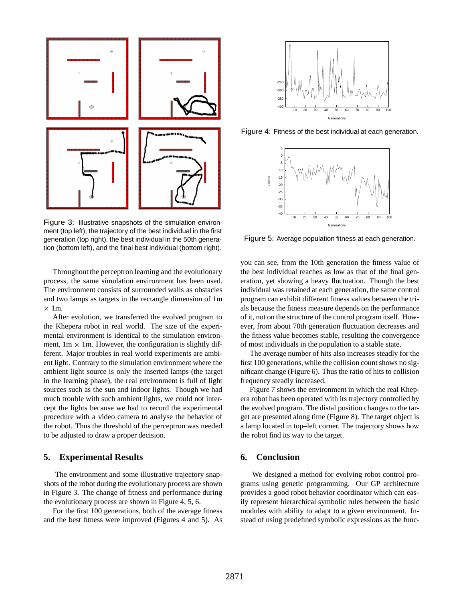

Figure 3: Illustrative snapshots of the simulation environment (top left), the trajectory of the best individual in the first generation (top right), the best individual in the 50th generation (bottom left), and the final best individual (bottom right).

Throughout the perceptron learning and the evolutionary process, the same simulation environment has been used. The environment consists of surrounded walls as obstacles and two lamps as targets in the rectangle dimension of 1m  $\times$  1m.

After evolution, we transferred the evolved program to the Khepera robot in real world. The size of the experimental environment is identical to the simulation environment,  $1m \times 1m$ . However, the configuration is slightly different. Major troubles in real world experiments are ambient light. Contrary to the simulation environment where the ambient light source is only the inserted lamps (the target in the learning phase), the real environment is full of light sources such as the sun and indoor lights. Though we had much trouble with such ambient lights, we could not intercept the lights because we had to record the experimental procedure with a video camera to analyse the behavior of the robot. Thus the threshold of the perceptron was needed to be adjusted to draw a proper decision.

#### **5. Experimental Results**

The environment and some illustrative trajectory snapshots of the robot during the evolutionary process are shown in Figure 3. The change of fitness and performance during the evolutionary process are shown in Figure 4, 5, 6.

For the first 100 generations, both of the average fitness and the best fitness were improved (Figures 4 and 5). As



Figure 4: Fitness of the best individual at each generation.



Figure 5: Average population fitness at each generation.

you can see, from the 10th generation the fitness value of the best individual reaches as low as that of the final generation, yet showing a heavy fluctuation. Though the best individual was retained at each generation, the same control program can exhibit different fitness values between the trials because the fitness measure depends on the performance of it, not on the structure of the control program itself. However, from about 70th generation fluctuation decreases and the fitness value becomes stable, resulting the convergence of most individuals in the population to a stable state.

The average number of hits also increases steadly for the first 100 generations, while the collision count shows no significant change (Figure 6). Thus the ratio of hits to collision frequency steadly increased.

Figure 7 shows the environment in which the real Khepera robot has been operated with its trajectory controlled by the evolved program. The distal position changes to the target are presented along time (Figure 8). The target object is a lamp located in top–left corner. The trajectory shows how the robot find its way to the target.

#### **6. Conclusion**

We designed a method for evolving robot control programs using genetic programming. Our GP architecture provides a good robot behavior coordinator which can easily represent hierarchical symbolic rules between the basic modules with ability to adapt to a given environment. Instead of using predefined symbolic expressions as the func-